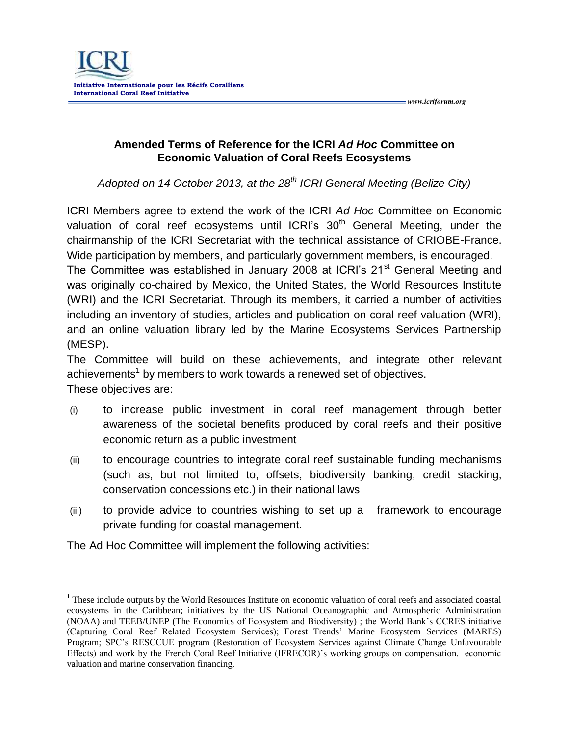

**Amended Terms of Reference for the ICRI** *Ad Hoc* **Committee on Economic Valuation of Coral Reefs Ecosystems**

 *www.icriforum.org* 

*Adopted on 14 October 2013, at the 28th ICRI General Meeting (Belize City)*

ICRI Members agree to extend the work of the ICRI *Ad Hoc* Committee on Economic valuation of coral reef ecosystems until ICRI's 30<sup>th</sup> General Meeting, under the chairmanship of the ICRI Secretariat with the technical assistance of CRIOBE-France. Wide participation by members, and particularly government members, is encouraged.

The Committee was established in January 2008 at ICRI's 21<sup>st</sup> General Meeting and was originally co-chaired by Mexico, the United States, the World Resources Institute (WRI) and the ICRI Secretariat. Through its members, it carried a number of activities including an inventory of studies, articles and publication on coral reef valuation (WRI), and an online valuation library led by the Marine Ecosystems Services Partnership (MESP).

The Committee will build on these achievements, and integrate other relevant achievements<sup>1</sup> by members to work towards a renewed set of objectives. These objectives are:

- (i) to increase public investment in coral reef management through better awareness of the societal benefits produced by coral reefs and their positive economic return as a public investment
- (ii) to encourage countries to integrate coral reef sustainable funding mechanisms (such as, but not limited to, offsets, biodiversity banking, credit stacking, conservation concessions etc.) in their national laws
- (iii) to provide advice to countries wishing to set up a framework to encourage private funding for coastal management.

The Ad Hoc Committee will implement the following activities:

 $\overline{a}$ 

<sup>&</sup>lt;sup>1</sup> These include outputs by the World Resources Institute on economic valuation of coral reefs and associated coastal ecosystems in the Caribbean; initiatives by the US National Oceanographic and Atmospheric Administration (NOAA) and TEEB/UNEP (The Economics of Ecosystem and Biodiversity) ; the World Bank's CCRES initiative (Capturing Coral Reef Related Ecosystem Services); Forest Trends' Marine Ecosystem Services (MARES) Program; SPC's RESCCUE program (Restoration of Ecosystem Services against Climate Change Unfavourable Effects) and work by the French Coral Reef Initiative (IFRECOR)'s working groups on compensation, economic valuation and marine conservation financing.